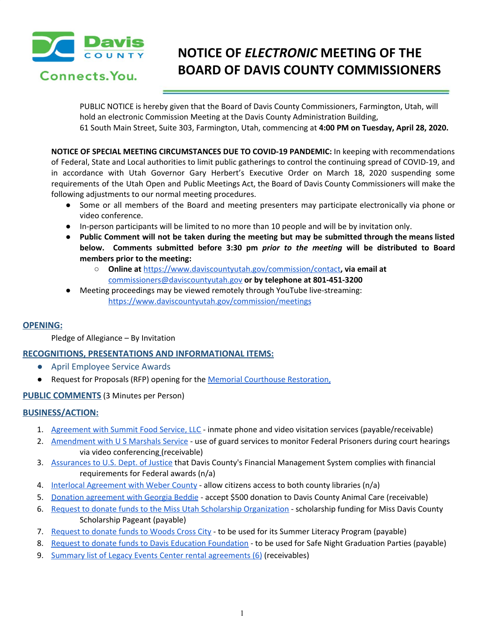

Connects. You.

# **NOTICE OF** *ELECTRONIC* **MEETING OF THE BOARD OF DAVIS COUNTY COMMISSIONERS**

PUBLIC NOTICE is hereby given that the Board of Davis County Commissioners, Farmington, Utah, will hold an electronic Commission Meeting at the Davis County Administration Building, 61 South Main Street, Suite 303, Farmington, Utah, commencing at **4:00 PM on Tuesday, April 28, 2020.**

**NOTICE OF SPECIAL MEETING CIRCUMSTANCES DUE TO COVID-19 PANDEMIC:** In keeping with recommendations of Federal, State and Local authorities to limit public gatherings to control the continuing spread of COVID-19, and in accordance with Utah Governor Gary Herbert's Executive Order on March 18, 2020 suspending some requirements of the Utah Open and Public Meetings Act, the Board of Davis County Commissioners will make the following adjustments to our normal meeting procedures.

- Some or all members of the Board and meeting presenters may participate electronically via phone or video conference.
- In-person participants will be limited to no more than 10 people and will be by invitation only.
- Public Comment will not be taken during the meeting but may be submitted through the means listed **below. Comments submitted before 3:30 pm** *prior to the meeting* **will be distributed to Board members prior to the meeting:**
	- **○ Online at** <https://www.daviscountyutah.gov/commission/contact>**, via email at** [commissioners@daviscountyutah.gov](mailto:commissioners@daviscountyutah.gov) **or by telephone at 801-451-3200**
- Meeting proceedings may be viewed remotely through YouTube live-streaming: <https://www.daviscountyutah.gov/commission/meetings>

# **OPENING:**

Pledge of Allegiance – By Invitation

# **RECOGNITIONS, PRESENTATIONS AND INFORMATIONAL ITEMS:**

- April Employee Service Awards
- Request for Proposals (RFP) opening for the Memorial Courthouse [Restoration](https://drive.google.com/a/co.davis.ut.us/file/d/1FOwEevp7bs8ZM_VYiCBYIJwpwXpaABen/view?usp=drivesdk)[,](https://drive.google.com/a/co.davis.ut.us/file/d/10BZlq5CKlXSNilu1keBpowuGfgu3-Mkj/view?usp=drivesdk)

# **PUBLIC COMMENTS** (3 Minutes per Person)

## **BUSINESS/ACTION:**

- 1. [Agreement](https://drive.google.com/a/co.davis.ut.us/file/d/1op_7I2UULAd6XICkvgLgr6DIJc4vk580/view?usp=drivesdk) with Summit Food Service, LLC inmate phone and video visitation services (payable/receivable[\)](https://drive.google.com/a/co.davis.ut.us/file/d/1op_7I2UULAd6XICkvgLgr6DIJc4vk580/view?usp=drivesdk)
- 2. [Amendment](https://drive.google.com/a/co.davis.ut.us/file/d/1dMiIpm_6oPKxv7pqhtRyPaOg3ETRLdg5/view?usp=drivesdk) with U S Marshals Service use of guard services to monitor Federal [Prisoners](https://drive.google.com/a/co.davis.ut.us/file/d/1dMiIpm_6oPKxv7pqhtRyPaOg3ETRLdg5/view?usp=drivesdk) during court hearings via video [conferencing](https://drive.google.com/a/co.davis.ut.us/file/d/1dMiIpm_6oPKxv7pqhtRyPaOg3ETRLdg5/view?usp=drivesdk) (receivable)
- 3. [Assurances](https://drive.google.com/a/co.davis.ut.us/file/d/1ZbrT7WxJGvK2hrDyLh6lFVBdwul6eqTd/view?usp=drivesdk) to U.S. Dept. of Justice that Davis County's Financial [Management](https://drive.google.com/a/co.davis.ut.us/file/d/1ZbrT7WxJGvK2hrDyLh6lFVBdwul6eqTd/view?usp=drivesdk) System complies with financial [requirements](https://drive.google.com/a/co.davis.ut.us/file/d/1ZbrT7WxJGvK2hrDyLh6lFVBdwul6eqTd/view?usp=drivesdk) for Federal awards (n/a)
- 4. Interlocal [Agreement](https://drive.google.com/a/co.davis.ut.us/file/d/178lFp1_kPMexO_2EEVuX6Gx9HQkUkNJT/view?usp=drivesdk) with Weber County allow citizens access to both county libraries (n/a)
- 5. Donation [agreement](https://drive.google.com/a/co.davis.ut.us/file/d/1xyFItxrYILfj3nzMH-Gaj18IP5gHq2nV/view?usp=drivesdk) with Georgia Beddie accept \$500 donation to Davis County Animal Care (receivable)
- 6. Request to donate funds to the Miss Utah Scholarship [Organization](https://drive.google.com/a/co.davis.ut.us/file/d/1xeuKAXh35gJvAAZK_O4fi8QF57JXvAKa/view?usp=drivesdk) [scholarship](https://drive.google.com/a/co.davis.ut.us/file/d/1xeuKAXh35gJvAAZK_O4fi8QF57JXvAKa/view?usp=drivesdk) funding for Miss Davis County [Scholarship](https://drive.google.com/a/co.davis.ut.us/file/d/1xeuKAXh35gJvAAZK_O4fi8QF57JXvAKa/view?usp=drivesdk) Pageant (payable)
- 7. [Request](https://drive.google.com/a/co.davis.ut.us/file/d/1YLgd-3AIDZ391Yp8OlAkVKGSzG9I2y_Q/view?usp=drivesdk) to donate funds to Woods Cross City to be used for its Summer Literacy Program (payable)
- 8. Request to donate funds to Davis Education [Foundation](https://drive.google.com/a/co.davis.ut.us/file/d/1FzE0rtmF_jCLWyesoL59am_MMHj_v6Aq/view?usp=drivesdk) to be used for Safe Night Graduation Parties (payable)
- 9. Summary list of Legacy Events Center rental [agreements](https://drive.google.com/a/co.davis.ut.us/file/d/1FctWjIwPu8JopDjK_SzYzispjcecRFh0/view?usp=drivesdk) (6) (receivables)